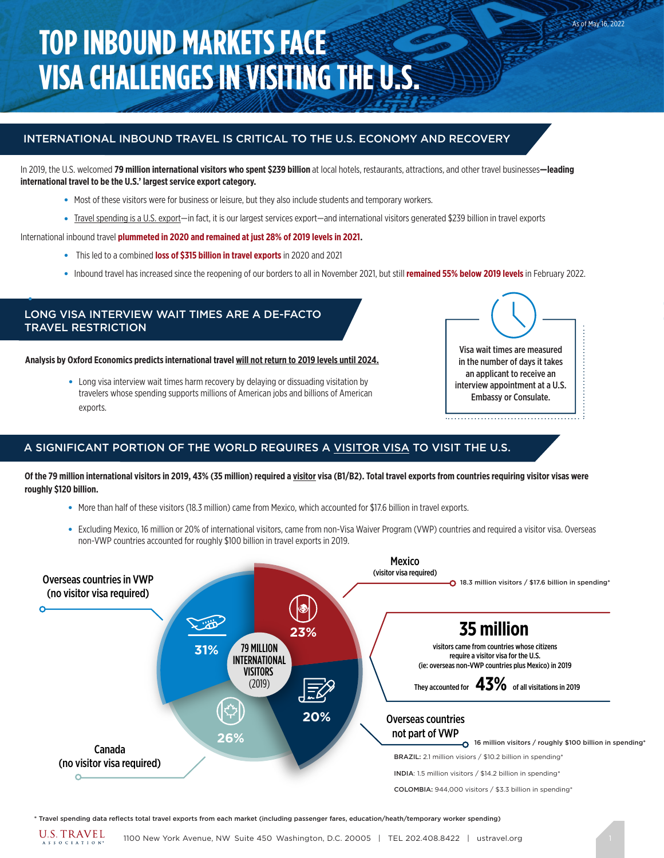# **TOP INBOUND MARKETS FACE VISA CHALLENGES IN VISITING THE U.S.**

# INTERNATIONAL INBOUND TRAVEL IS CRITICAL TO THE U.S. ECONOMY AND RECOVERY

In 2019, the U.S. welcomed **79 million international visitors who spent \$239 billion** at local hotels, restaurants, attractions, and other travel businesses**—leading international travel to be the U.S.' largest service export category.** 

- Most of these visitors were for business or leisure, but they also include students and temporary workers.
- Travel spending is a U.S. export—in fact, it is our largest services export—and international visitors generated \$239 billion in travel exports

International inbound travel **plummeted in 2020 and remained at just 28% of 2019 levels in 2021.**

- This led to a combined **loss of \$315 billion in travel exports** in 2020 and 2021
- Inbound travel has increased since the reopening of our borders to all in November 2021, but still **remained 55% below 2019 levels** in February 2022.

# LONG VISA INTERVIEW WAIT TIMES ARE A DE-FACTO TRAVEL RESTRICTION

●

**Analysis by Oxford Economics predicts international travel will not return to 2019 levels until 2024.**

• Long visa interview wait times harm recovery by delaying or dissuading visitation by travelers whose spending supports millions of American jobs and billions of American exports.



As of May 16, 2022

### A SIGNIFICANT PORTION OF THE WORLD REQUIRES A VISITOR VISA TO VISIT THE U.S.

**Of the 79 million international visitors in 2019, 43% (35 million) required a visitor visa (B1/B2). Total travel exports from countries requiring visitor visas were roughly \$120 billion.** 

- More than half of these visitors (18.3 million) came from Mexico, which accounted for \$17.6 billion in travel exports.
- Excluding Mexico, 16 million or 20% of international visitors, came from non-Visa Waiver Program (VWP) countries and required a visitor visa. Overseas non-VWP countries accounted for roughly \$100 billion in travel exports in 2019.



\* Travel spending data reflects total travel exports from each market (including passenger fares, education/heath/temporary worker spending)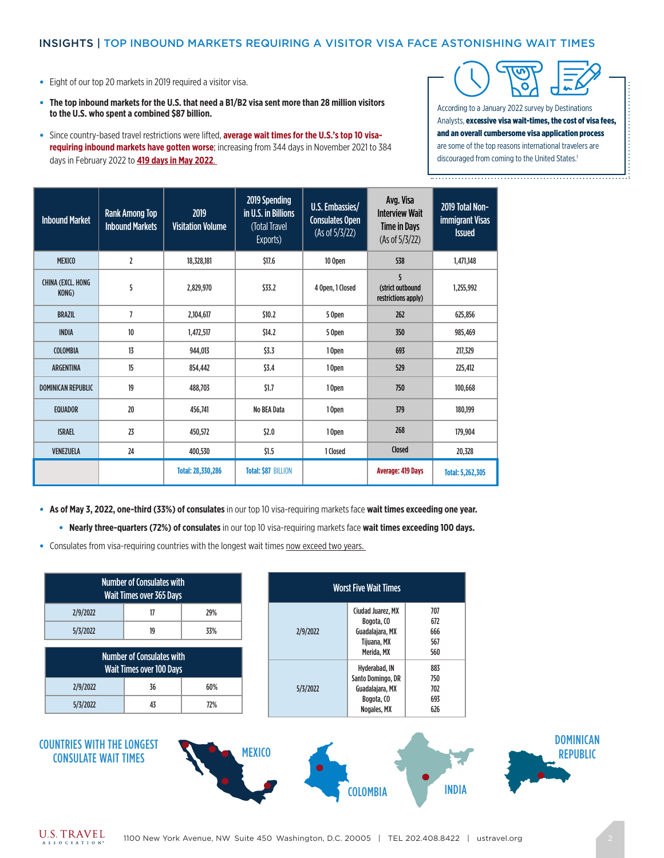### INSIGHTS | TOP INBOUND MARKETS REQUIRING A VISITOR VISA FACE ASTONISHING WAIT TIMES

- Eight of our top 20 markets in 2019 required a visitor visa.
- **The top inbound markets for the U.S. that need a B1/B2 visa sent more than 28 million visitors to the U.S. who spent a combined \$87 billion.**
- Since country-based travel restrictions were lifted, **average wait times for the U.S.'s top 10 visarequiring inbound markets have gotten worse**; increasing from 344 days in November 2021 to 384 days in February 2022 to **419 days in May 2022**.



According to a January 2022 survey by Destinations Analysts, excessive visa wait-times, the cost of visa fees, and an overall cumbersome visa application process are some of the top reasons international travelers are discouraged from coming to the United States.<sup>1</sup>

| <b>Inbound Market</b>              | <b>Rank Among Top</b><br><b>Inbound Markets</b> | 2019<br><b>Visitation Volume</b> | 2019 Spending<br>in U.S. in Billions<br>(Total Travel<br>Exports) | U.S. Embassies/<br><b>Consulates Open</b><br>(As of 5/3/22) | Avg. Visa<br><b>Interview Wait</b><br><b>Time in Days</b><br>(As of 5/3/22) | 2019 Total Non-<br>immigrant Visas<br><b>Issued</b> |
|------------------------------------|-------------------------------------------------|----------------------------------|-------------------------------------------------------------------|-------------------------------------------------------------|-----------------------------------------------------------------------------|-----------------------------------------------------|
| <b>MEXICO</b>                      | $\overline{2}$                                  | 18,328,181                       | \$17.6                                                            | 10 Open                                                     | 538                                                                         | 1,471,148                                           |
| <b>CHINA (EXCL, HONG)</b><br>KONG) | 5                                               | 2,829,970                        | \$33.2                                                            | 4 Open. 1 Closed                                            | 5<br>(strict outbound<br>restrictions apply)                                | 1.255.992                                           |
| <b>BRAZIL</b>                      | $\overline{1}$                                  | 2,104,617                        | \$10.2                                                            | 5 Open                                                      | 262                                                                         | 625.856                                             |
| <b>INDIA</b>                       | 10 <sup>°</sup>                                 | 1.472.517                        | \$14.2                                                            | 5 Open                                                      | 350                                                                         | 985.469                                             |
| <b>COLOMBIA</b>                    | 13                                              | 944.013                          | \$3.3                                                             | 10pen                                                       | 693                                                                         | 217.329                                             |
| <b>ARGENTINA</b>                   | 15                                              | 854,442                          | \$3.4                                                             | 10pen                                                       | 529                                                                         | 225,412                                             |
| <b>DOMINICAN REPUBLIC</b>          | 19                                              | 488,703                          | \$1.7                                                             | 10pen                                                       | 750                                                                         | 100,668                                             |
| <b>EQUADOR</b>                     | 20                                              | 456,741                          | <b>No BEA Data</b>                                                | 10pen                                                       | 379                                                                         | 180,199                                             |
| <b>ISRAEL</b>                      | 23                                              | 450,572                          | \$2.0                                                             | 268<br>10pen                                                |                                                                             | 179,904                                             |
| <b>VENEZUELA</b>                   | 24                                              | 400,530                          | \$1.5                                                             | 1 Closed                                                    | Closed                                                                      | 20,328                                              |
|                                    |                                                 | <b>Total: 28,330,286</b>         | <b>Total: \$87 BILLION</b>                                        |                                                             | <b>Average: 419 Days</b>                                                    | <b>Total: 5,262,305</b>                             |

● **As of May 3, 2022, one-third (33%) of consulates** in our top 10 visa-requiring markets face **wait times exceeding one year.**

● **Nearly three-quarters (72%) of consulates** in our top 10 visa-requiring markets face **wait times exceeding 100 days.** 

• Consulates from visa-requiring countries with the longest wait times now exceed two years.

|                                                                     | <b>Number of Consulates with</b><br><b>Wait Times over 365 Days</b> |            |               |          | <b>Worst Five Wait Times</b>                                      |                          |
|---------------------------------------------------------------------|---------------------------------------------------------------------|------------|---------------|----------|-------------------------------------------------------------------|--------------------------|
| 2/9/2022<br>5/3/2022                                                | 17<br>19                                                            | 29%<br>33% |               | 2/9/2022 | Ciudad Juarez, MX<br>Bogota, CO<br>Guadalajara, MX<br>Tijuana, MX | 707<br>672<br>666<br>567 |
| <b>Number of Consulates with</b><br><b>Wait Times over 100 Days</b> |                                                                     |            |               |          | Merida, MX<br>Hyderabad, IN                                       | 560<br>883<br>750        |
| 2/9/2022                                                            | 36                                                                  | 60%        |               | 5/3/2022 | Santo Domingo, DR<br>Guadalajara, MX<br>Bogota, CO                | 702<br>693               |
| 5/3/2022                                                            | 43                                                                  | 72%        |               |          | Nogales, MX                                                       | 626                      |
| <b>COUNTRIES WITH THE LONGEST</b><br><b>CONSULATE WAIT TIMES</b>    |                                                                     |            | <b>MEXICO</b> |          | <b>COLOMBIA</b>                                                   | <b>INDIA</b>             |